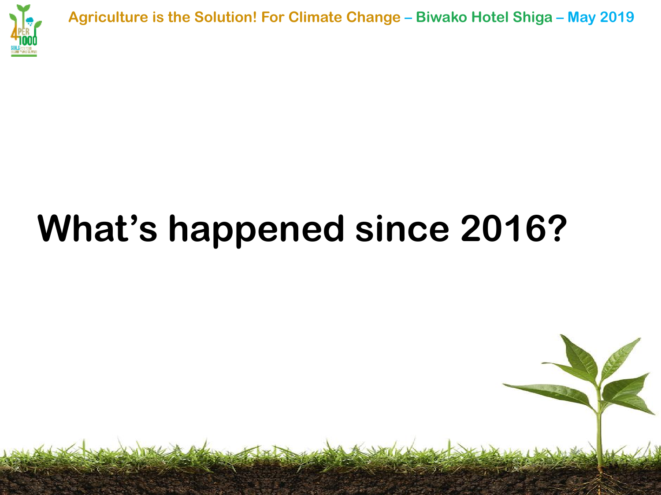

**Agriculture is the Solution! For Climate Change – Biwako Hotel Shiga – May 2019**

# **What's happened since 2016?**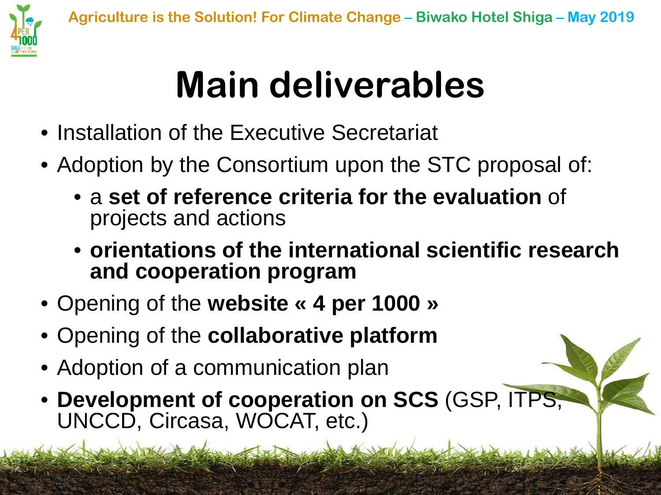

# **Main deliverables**

- Installation of the Executive Secretariat
- Adoption by the Consortium upon the STC proposal of:
	- a **set of reference criteria for the evaluation** of projects and actions
	- **orientations of the international scientific research and cooperation program**
- Opening of the **website « 4 per 1000 »**
- Opening of the **collaborative platform**
- Adoption of a communication plan
- **Development of cooperation on SCS** (GSP, ITPS, UNCCD, Circasa, WOCAT, etc.)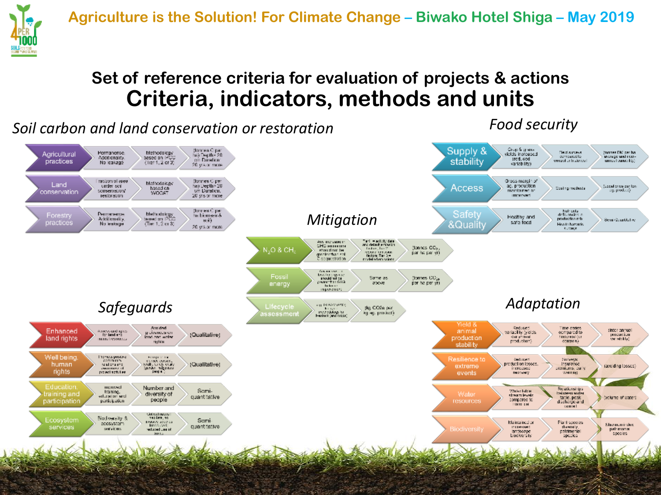

### **Set of reference criteria for evaluation of projects & actions Criteria, indicators, methods and units**

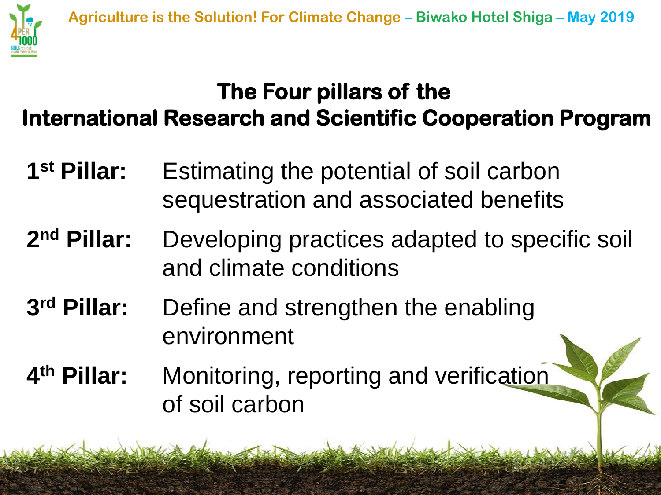

## **The Four pillars of the International Research and Scientific Cooperation Program**

- **1st Pillar:** Estimating the potential of soil carbon sequestration and associated benefits
- **2nd Pillar:** Developing practices adapted to specific soil and climate conditions
- **3rd Pillar:** Define and strengthen the enabling environment
- **4th Pillar:** Monitoring, reporting and verification of soil carbon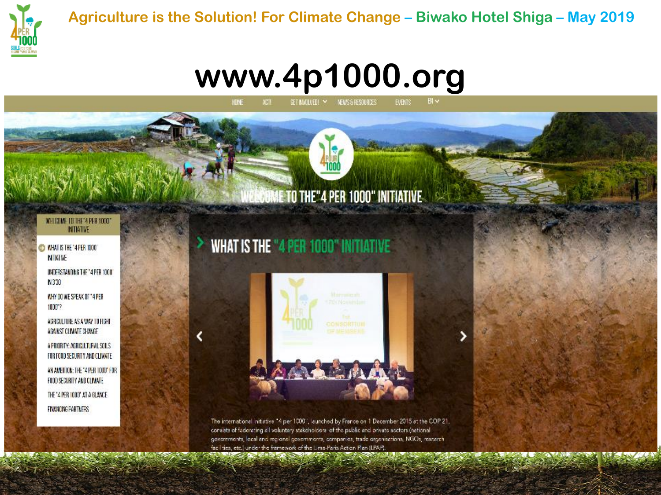

## www.4p1000.org

GET INVOLVED! Y MEWS 5 RESOURCES

### **IE TO THE"4 PER 1000" INITIATIVE**

#### WELCOME TO THE 4 PER 10001 **INTIGTIVE**

O MIAI IS THE '4PER 1000' **NTIATME** 

> INDERSTANDING THE "4 PER 1000" N330

WHY DO WE SPEAK OF "4 PER 100017

ADRICULTURE AS A WAY TO FIGHT AGAINST CLIMATE CHANGE

A PRIORITY: AGRICULTURAL SOLS FOR FOOD SECURITY AND CLIMATE

AN AMBILION: THE "4 PER TOOD" FOR FOOD SECURITY AND CLIMATE THE "4 PER 1000" AT A GLANCE FINANCING PARTNERS

### **WHAT IS THE "4 PER 1000" INITIATIVE**



The international initiative "4 per 1000", launched by France on 1 December 2015 at the COP 21, consists of faderating all voluntary stakeholders of the public and private sectors (national governments, local and regional governments, companies, trade organisations, NGOs, research facilities, etc.) under the framework of the Lima-Paris Action Plan (LPAP).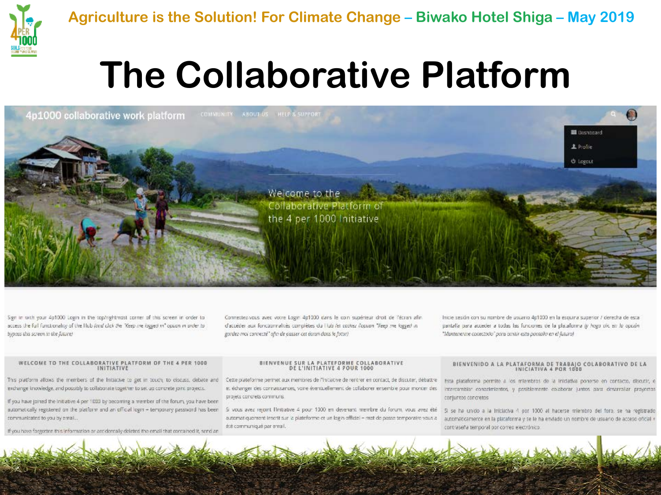

## **The Collaborative Platform**



Sign in with your 4p1000 Legin in the top/rightmost corner of this screen in order to access the full functionality of the Hub (and click the "Keep me logged in" option in order to bypass this screen in the future!

Connectez-vous avec votre Login 4p1000 dans le coin supérieur droit de l'écran afin d'accéder aux fonctionnalités complètes du l'lub (et cochez l'option "Visep me logged in gordez-moi connecté" afte de passer cet écran dans le futur)

Inicie sesión con su nombre de usuario 4p1000 en la esquina superior / derecha de esta pantalla para acceder a todas las funciones de la plataforma (y hogo civ. en lo opción "Mantenerine conectado" pora omitir esta pontaña en el futuro)

#### WELCOME TO THE COLLABORATIVE PLATFORM OF THE 4 PER 1000 INITIATIVE

This platform allows the members of the Initiative to get in touch, to discuss, debate and exchange knowledge, and possibly to collaborate together to set up concrete joint projects.

If you have joined the initiative 4 per 1000 by becoming a member of the forum, you have been automatically registered on the platform and an official login - temporary password has been communicated to you by email...

If you have forgotten this information or accidentally deleted the email that contained it, send an

#### BIENVENUE SUR LA PLATEFORME COLLABORATIVE DE L'INITIATIVE 4 POUR 1000

Cette plateforme permet aux membres de l'inciative de rentrer en contact, de discuter, débattre et échanger des connaissances, voire éventuellement de collaborer ensemble pour monter des projets concrets communs.

Si vous avez rejoint fInitiative 4 pour 1000 en devenant membre du forum, vous avez été été communiqué par email.

#### BIENVENIDO A LA PLATAFORMA DE TRABAJO COLABORATIVO DE LA

Esta plataforma permite a los miembros de la iniciativa ponerse en contacto, discutir, e intercamble: conocimientos, y posiblemente colaborar juntos bara desarrollar proyectos conjuntos concretos

5) se ha unido a la Iniciativa 4 por 1000 al hacerse miembro del foro, se ha registrado automatiquement insorti sur la plateforme et un login officiel = mot de passe temporaire vous a supervaccamente en la plataforma y se le ha envlado un nombre de usuario de acceso oficial in contraseña temporal por correo electrónico.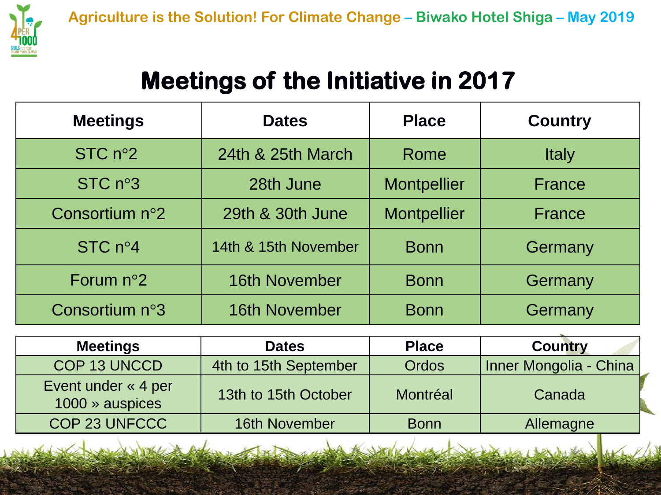

## **Meetings of the Initiative in 2017**

| <b>Meetings</b>      | <b>Dates</b>         | <b>Place</b>       | <b>Country</b> |
|----------------------|----------------------|--------------------|----------------|
| STC $n^{\circ}2$     | 24th & 25th March    | Rome               | <b>Italy</b>   |
| STC n <sup>°</sup> 3 | 28th June            | <b>Montpellier</b> | <b>France</b>  |
| Consortium n°2       | 29th & 30th June     | <b>Montpellier</b> | <b>France</b>  |
| STC $n^{\circ}4$     | 14th & 15th November | <b>Bonn</b>        | Germany        |
| Forum $n^{\circ}2$   | <b>16th November</b> | <b>Bonn</b>        | <b>Germany</b> |
| Consortium n°3       | <b>16th November</b> | <b>Bonn</b>        | Germany        |

| <b>Meetings</b>                        | <b>Dates</b>          | <b>Place</b> | <b>Country</b>         |
|----------------------------------------|-----------------------|--------------|------------------------|
| COP 13 UNCCD                           | 4th to 15th September | <b>Ordos</b> | Inner Mongolia - China |
| Event under « 4 per<br>1000 » auspices | 13th to 15th October  | Montréal     | Canada                 |
| COP 23 UNFCCC                          | 16th November         | <b>Bonn</b>  | Allemagne              |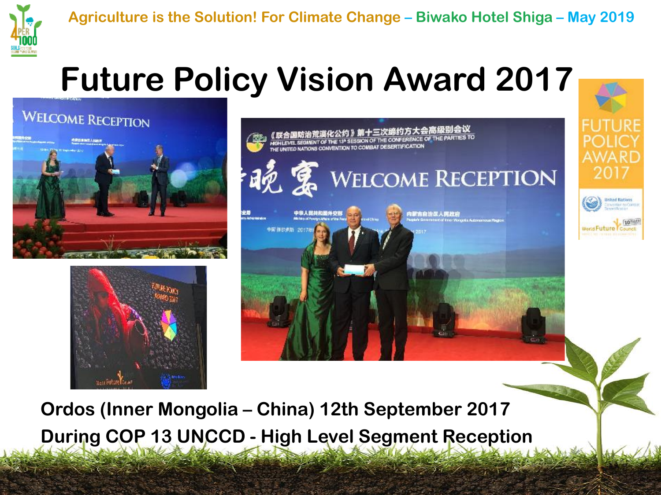

## **Future Policy Vision Award 2017**

**WELCOME RECEPTION** 







**Ordos (Inner Mongolia – China) 12th September 2017 During COP 13 UNCCD - High Level Segment Reception**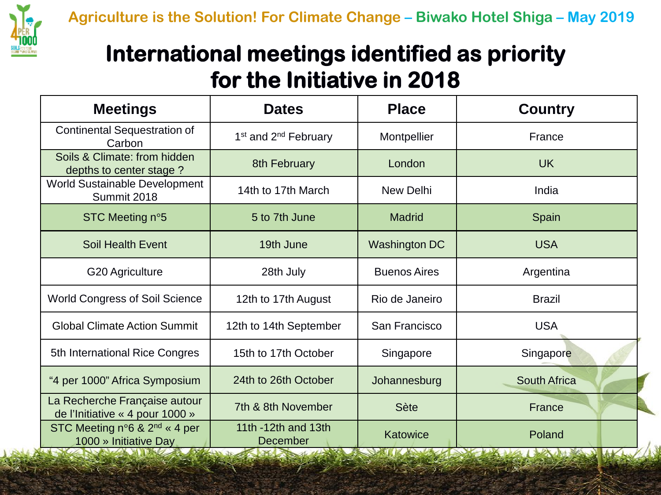

## **International meetings identified as priority for the Initiative in 2018**

| <b>Meetings</b>                                                                       | <b>Dates</b>                                      | <b>Place</b>                     | <b>Country</b>                                                |
|---------------------------------------------------------------------------------------|---------------------------------------------------|----------------------------------|---------------------------------------------------------------|
| <b>Continental Sequestration of</b><br>Carbon                                         | 1 <sup>st</sup> and 2 <sup>nd</sup> February      | Montpellier                      | France                                                        |
| Soils & Climate: from hidden<br>depths to center stage?                               | 8th February                                      | London                           | <b>UK</b>                                                     |
| <b>World Sustainable Development</b><br>Summit 2018                                   | 14th to 17th March                                | New Delhi                        | India                                                         |
| STC Meeting n°5                                                                       | 5 to 7th June                                     | <b>Madrid</b>                    | Spain                                                         |
| <b>Soil Health Event</b>                                                              | 19th June                                         | Washington DC                    | <b>USA</b>                                                    |
| G20 Agriculture                                                                       | 28th July                                         | <b>Buenos Aires</b>              | Argentina                                                     |
| <b>World Congress of Soil Science</b>                                                 | 12th to 17th August                               | Rio de Janeiro                   | <b>Brazil</b>                                                 |
| <b>Global Climate Action Summit</b>                                                   | 12th to 14th September                            | San Francisco                    | <b>USA</b>                                                    |
| 5th International Rice Congres                                                        | 15th to 17th October                              | Singapore                        | Singapore                                                     |
| "4 per 1000" Africa Symposium                                                         | 24th to 26th October                              | Johannesburg                     | <b>South Africa</b>                                           |
| La Recherche Française autour<br>de l'Initiative « 4 pour 1000 »                      | 7th & 8th November                                | <b>Sète</b>                      | France                                                        |
| STC Meeting $n^{\circ}6$ & $2^{nd}$ « 4 per<br>1000 » Initiative Day<br>$\mathcal{L}$ | 11th -12th and 13th<br>December<br><b>Addison</b> | Katowice<br><b>NAME OF BRIDE</b> | Poland<br>$\mathcal{L}$ and $\mathcal{L}$<br><b>Reduction</b> |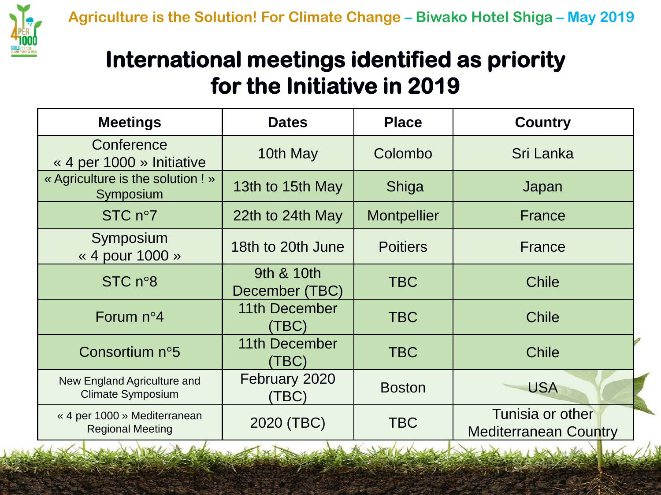

### **International meetings identified as priority for the Initiative in 2019**

| <b>Meetings</b>                                         | <b>Dates</b>                 | <b>Place</b>       | <b>Country</b>                                   |
|---------------------------------------------------------|------------------------------|--------------------|--------------------------------------------------|
| Conference<br>« 4 per 1000 » Initiative                 | 10th May                     | Colombo            | Sri Lanka                                        |
| « Agriculture is the solution ! »<br>Symposium          | 13th to 15th May             | Shiga              | Japan                                            |
| STC $n°7$                                               | 22th to 24th May             | <b>Montpellier</b> | France                                           |
| Symposium<br>« 4 pour 1000 »                            | 18th to 20th June            | <b>Poitiers</b>    | <b>France</b>                                    |
| STC $n°8$                                               | 9th & 10th<br>December (TBC) | <b>TBC</b>         | <b>Chile</b>                                     |
| Forum $n^{\circ}4$                                      | 11th December<br>(TBC)       | <b>TBC</b>         | <b>Chile</b>                                     |
| Consortium n°5                                          | 11th December<br>(TBC)       | TBC                | <b>Chile</b>                                     |
| New England Agriculture and<br><b>Climate Symposium</b> | February 2020<br>(TBC)       | <b>Boston</b>      | <b>USA</b>                                       |
| « 4 per 1000 » Mediterranean<br><b>Regional Meeting</b> | 2020 (TBC)                   | <b>TBC</b>         | Tunisia or other<br><b>Mediterranean Country</b> |